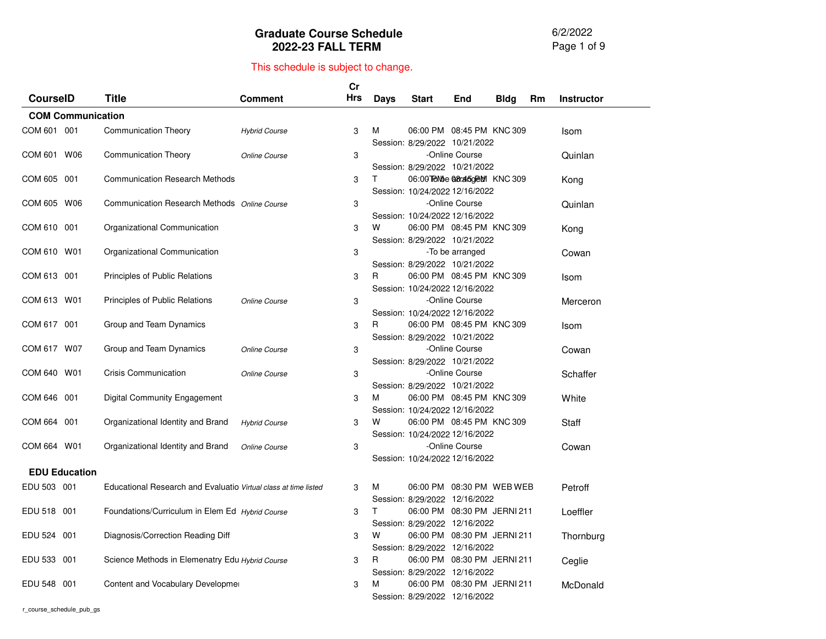6/2/2022 Page 1 of 9

|                          |                                                                 |                      | Cr                            |             |                                                             |                 |             |    |                   |
|--------------------------|-----------------------------------------------------------------|----------------------|-------------------------------|-------------|-------------------------------------------------------------|-----------------|-------------|----|-------------------|
| <b>CourseID</b>          | <b>Title</b>                                                    | Comment              | <b>Hrs</b>                    | <b>Days</b> | <b>Start</b>                                                | End             | <b>Bldg</b> | Rm | <b>Instructor</b> |
| <b>COM Communication</b> |                                                                 |                      |                               |             |                                                             |                 |             |    |                   |
| COM 601 001              | <b>Communication Theory</b>                                     | <b>Hybrid Course</b> | 3                             | м           | 06:00 PM 08:45 PM KNC 309                                   |                 |             |    | Isom              |
|                          |                                                                 |                      | Session: 8/29/2022 10/21/2022 |             |                                                             |                 |             |    |                   |
| COM 601 W06              | <b>Communication Theory</b>                                     | Online Course        | 3                             |             |                                                             | -Online Course  |             |    | Quinlan           |
|                          |                                                                 |                      |                               |             | Session: 8/29/2022 10/21/2022                               |                 |             |    |                   |
| COM 605 001              | <b>Communication Research Methods</b>                           |                      | 3                             | T.          | 06:00 TRMbe @araboreM KNC 309                               |                 |             |    | Kong              |
|                          |                                                                 |                      |                               |             | Session: 10/24/2022 12/16/2022                              |                 |             |    |                   |
| COM 605 W06              | Communication Research Methods Online Course                    |                      | 3                             |             |                                                             | -Online Course  |             |    | Quinlan           |
| COM 610 001              | Organizational Communication                                    |                      | 3                             | W           | Session: 10/24/2022 12/16/2022<br>06:00 PM 08:45 PM KNC 309 |                 |             |    | Kong              |
|                          |                                                                 |                      |                               |             | Session: 8/29/2022 10/21/2022                               |                 |             |    |                   |
| COM 610 W01              | Organizational Communication                                    |                      | 3                             |             |                                                             | -To be arranged |             |    | Cowan             |
|                          |                                                                 |                      |                               |             | Session: 8/29/2022 10/21/2022                               |                 |             |    |                   |
| COM 613 001              | Principles of Public Relations                                  |                      | 3                             | R.          | 06:00 PM 08:45 PM KNC 309                                   |                 |             |    | Isom              |
|                          |                                                                 |                      |                               |             | Session: 10/24/2022 12/16/2022                              |                 |             |    |                   |
| COM 613 W01              | Principles of Public Relations                                  | Online Course        | 3                             |             |                                                             | -Online Course  |             |    | Merceron          |
|                          |                                                                 |                      |                               |             | Session: 10/24/2022 12/16/2022                              |                 |             |    |                   |
| COM 617 001              | Group and Team Dynamics                                         |                      | 3                             | R           | 06:00 PM 08:45 PM KNC 309                                   |                 |             |    | Isom              |
|                          |                                                                 |                      |                               |             | Session: 8/29/2022 10/21/2022                               |                 |             |    |                   |
| COM 617 W07              | Group and Team Dynamics                                         | Online Course        | 3                             |             |                                                             | -Online Course  |             |    | Cowan             |
|                          |                                                                 |                      |                               |             | Session: 8/29/2022 10/21/2022                               |                 |             |    |                   |
| COM 640 W01              | <b>Crisis Communication</b>                                     | Online Course        | 3                             |             |                                                             | -Online Course  |             |    | Schaffer          |
| COM 646 001              | <b>Digital Community Engagement</b>                             |                      | 3                             | м           | Session: 8/29/2022 10/21/2022<br>06:00 PM 08:45 PM KNC 309  |                 |             |    |                   |
|                          |                                                                 |                      |                               |             | Session: 10/24/2022 12/16/2022                              |                 |             |    | White             |
| COM 664 001              | Organizational Identity and Brand                               | <b>Hybrid Course</b> | 3                             | w           | 06:00 PM 08:45 PM KNC 309                                   |                 |             |    | Staff             |
|                          |                                                                 |                      |                               |             | Session: 10/24/2022 12/16/2022                              |                 |             |    |                   |
| COM 664 W01              | Organizational Identity and Brand                               | Online Course        | 3                             |             |                                                             | -Online Course  |             |    | Cowan             |
|                          |                                                                 |                      |                               |             | Session: 10/24/2022 12/16/2022                              |                 |             |    |                   |
| <b>EDU Education</b>     |                                                                 |                      |                               |             |                                                             |                 |             |    |                   |
| EDU 503 001              | Educational Research and Evaluatio Virtual class at time listed |                      | 3                             | м           | 06:00 PM 08:30 PM WEB WEB                                   |                 |             |    | Petroff           |
|                          |                                                                 |                      |                               |             | Session: 8/29/2022 12/16/2022                               |                 |             |    |                   |
| EDU 518 001              | Foundations/Curriculum in Elem Ed Hybrid Course                 |                      | 3                             | T           | 06:00 PM 08:30 PM JERNI 211                                 |                 |             |    | Loeffler          |
|                          |                                                                 |                      |                               |             | Session: 8/29/2022 12/16/2022                               |                 |             |    |                   |
| EDU 524 001              | Diagnosis/Correction Reading Diff                               |                      | 3                             | W           | 06:00 PM 08:30 PM JERNI 211                                 |                 |             |    | Thornburg         |
|                          |                                                                 |                      |                               |             | Session: 8/29/2022 12/16/2022                               |                 |             |    |                   |
| EDU 533 001              | Science Methods in Elemenatry Edu Hybrid Course                 |                      | 3                             | R           | 06:00 PM 08:30 PM JERNI 211                                 |                 |             |    | Ceglie            |
|                          |                                                                 |                      |                               |             | Session: 8/29/2022 12/16/2022                               |                 |             |    |                   |
| <b>EDU 548</b><br>001    | Content and Vocabulary Developmer                               |                      | 3                             | M           | 06:00 PM 08:30 PM JERNI 211                                 |                 |             |    | McDonald          |
|                          |                                                                 |                      |                               |             | Session: 8/29/2022 12/16/2022                               |                 |             |    |                   |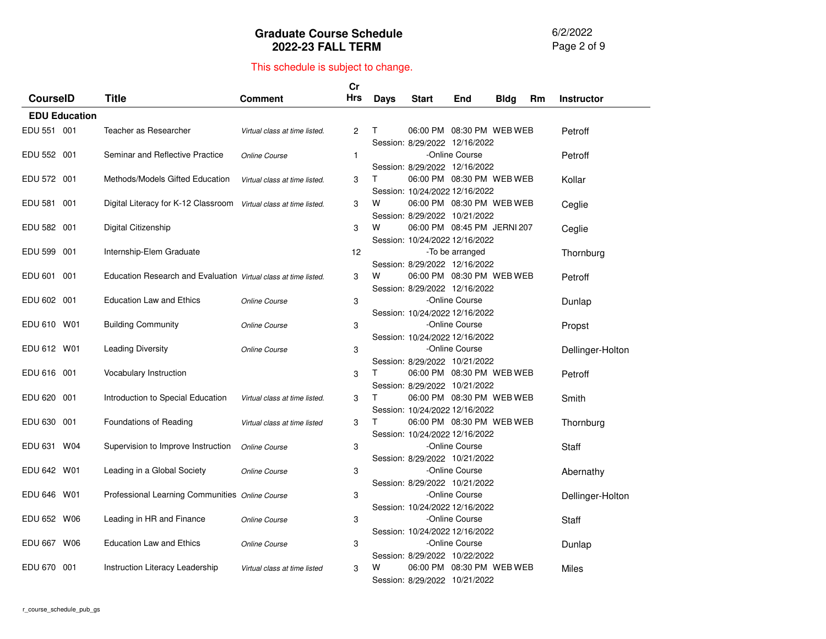6/2/2022 Page 2 of 9

|                 |                      |                                                                 |                               | Cr             |             |                                                            |                 |             |    |                   |
|-----------------|----------------------|-----------------------------------------------------------------|-------------------------------|----------------|-------------|------------------------------------------------------------|-----------------|-------------|----|-------------------|
| <b>CourseID</b> |                      | <b>Title</b>                                                    | <b>Comment</b>                | Hrs            | <b>Days</b> | <b>Start</b>                                               | End             | <b>Bldg</b> | Rm | <b>Instructor</b> |
|                 | <b>EDU Education</b> |                                                                 |                               |                |             |                                                            |                 |             |    |                   |
| EDU 551 001     |                      | Teacher as Researcher                                           | Virtual class at time listed. | $\overline{c}$ | T.          | 06:00 PM 08:30 PM WEB WEB                                  |                 |             |    | Petroff           |
|                 |                      |                                                                 |                               |                |             | Session: 8/29/2022 12/16/2022                              |                 |             |    |                   |
| EDU 552 001     |                      | Seminar and Reflective Practice                                 | Online Course                 | 1              |             |                                                            | -Online Course  |             |    | Petroff           |
|                 |                      |                                                                 |                               |                |             | Session: 8/29/2022 12/16/2022                              |                 |             |    |                   |
| EDU 572 001     |                      | Methods/Models Gifted Education                                 | Virtual class at time listed. | 3              | Τ           | 06:00 PM 08:30 PM WEB WEB                                  |                 |             |    | Kollar            |
|                 |                      |                                                                 |                               |                |             | Session: 10/24/2022 12/16/2022                             |                 |             |    |                   |
| EDU 581         | 001                  | Digital Literacy for K-12 Classroom                             | Virtual class at time listed. | 3              | W           | 06:00 PM 08:30 PM WEB WEB                                  |                 |             |    | Ceglie            |
|                 |                      |                                                                 |                               |                |             | Session: 8/29/2022 10/21/2022                              |                 |             |    |                   |
| EDU 582 001     |                      | Digital Citizenship                                             |                               | 3              | W           | 06:00 PM 08:45 PM JERNI 207                                |                 |             |    | Ceglie            |
|                 |                      |                                                                 |                               |                |             | Session: 10/24/2022 12/16/2022                             |                 |             |    |                   |
| EDU 599 001     |                      | Internship-Elem Graduate                                        |                               | 12             |             |                                                            | -To be arranged |             |    | Thornburg         |
|                 |                      |                                                                 |                               |                |             | Session: 8/29/2022 12/16/2022                              |                 |             |    |                   |
| EDU 601         | 001                  | Education Research and Evaluation Virtual class at time listed. |                               | 3              | w           | 06:00 PM 08:30 PM WEB WEB                                  |                 |             |    | Petroff           |
|                 |                      |                                                                 |                               |                |             | Session: 8/29/2022 12/16/2022                              |                 |             |    |                   |
| EDU 602 001     |                      | <b>Education Law and Ethics</b>                                 | Online Course                 | 3              |             |                                                            | -Online Course  |             |    | Dunlap            |
|                 |                      |                                                                 |                               |                |             | Session: 10/24/2022 12/16/2022                             |                 |             |    |                   |
| EDU 610 W01     |                      | <b>Building Community</b>                                       | Online Course                 | 3              |             |                                                            | -Online Course  |             |    | Propst            |
|                 |                      |                                                                 |                               |                |             | Session: 10/24/2022 12/16/2022                             |                 |             |    |                   |
| EDU 612 W01     |                      | <b>Leading Diversity</b>                                        | Online Course                 | 3              |             |                                                            | -Online Course  |             |    | Dellinger-Holton  |
|                 |                      |                                                                 |                               |                |             | Session: 8/29/2022 10/21/2022                              |                 |             |    |                   |
| EDU 616 001     |                      | Vocabulary Instruction                                          |                               | 3              | T.          | 06:00 PM 08:30 PM WEB WEB                                  |                 |             |    | Petroff           |
| EDU 620 001     |                      | Introduction to Special Education                               |                               |                | T.          | Session: 8/29/2022 10/21/2022<br>06:00 PM 08:30 PM WEB WEB |                 |             |    |                   |
|                 |                      |                                                                 | Virtual class at time listed. | 3              |             | Session: 10/24/2022 12/16/2022                             |                 |             |    | Smith             |
| EDU 630 001     |                      | Foundations of Reading                                          | Virtual class at time listed  | 3              | т           | 06:00 PM 08:30 PM WEB WEB                                  |                 |             |    |                   |
|                 |                      |                                                                 |                               |                |             | Session: 10/24/2022 12/16/2022                             |                 |             |    | Thornburg         |
| EDU 631 W04     |                      | Supervision to Improve Instruction                              | Online Course                 | 3              |             |                                                            | -Online Course  |             |    | Staff             |
|                 |                      |                                                                 |                               |                |             | Session: 8/29/2022 10/21/2022                              |                 |             |    |                   |
| EDU 642 W01     |                      | Leading in a Global Society                                     | Online Course                 | 3              |             |                                                            | -Online Course  |             |    | Abernathy         |
|                 |                      |                                                                 |                               |                |             | Session: 8/29/2022 10/21/2022                              |                 |             |    |                   |
| EDU 646 W01     |                      | Professional Learning Communities Online Course                 |                               | 3              |             |                                                            | -Online Course  |             |    | Dellinger-Holton  |
|                 |                      |                                                                 |                               |                |             | Session: 10/24/2022 12/16/2022                             |                 |             |    |                   |
| EDU 652 W06     |                      | Leading in HR and Finance                                       | Online Course                 | 3              |             |                                                            | -Online Course  |             |    | Staff             |
|                 |                      |                                                                 |                               |                |             | Session: 10/24/2022 12/16/2022                             |                 |             |    |                   |
| EDU 667 W06     |                      | <b>Education Law and Ethics</b>                                 | Online Course                 | 3              |             |                                                            | -Online Course  |             |    | Dunlap            |
|                 |                      |                                                                 |                               |                |             | Session: 8/29/2022 10/22/2022                              |                 |             |    |                   |
| EDU 670         | 001                  | Instruction Literacy Leadership                                 | Virtual class at time listed  | 3              | w           | 06:00 PM 08:30 PM WEB WEB                                  |                 |             |    | Miles             |
|                 |                      |                                                                 |                               |                |             | Session: 8/29/2022 10/21/2022                              |                 |             |    |                   |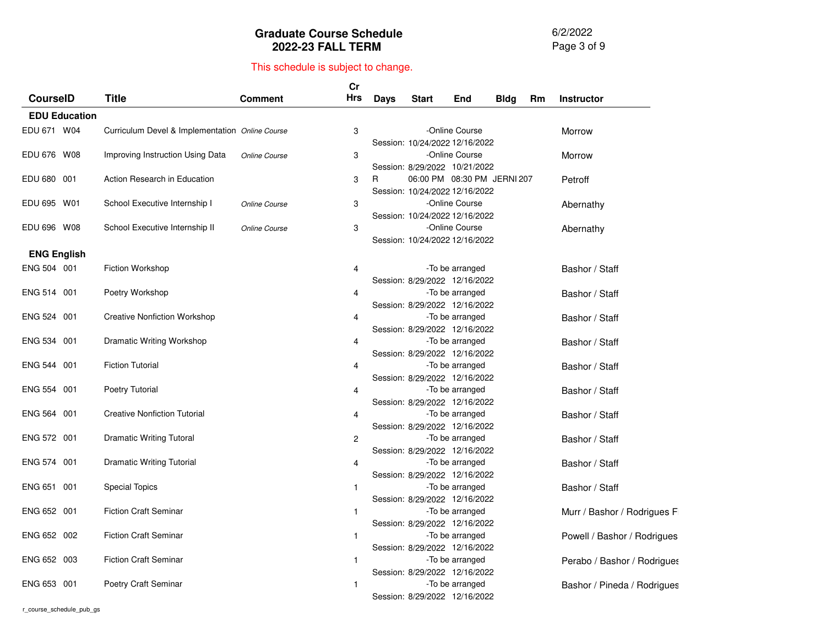6/2/2022 Page 3 of 9

|                    |                      |                                                 |                | Cr         |      |                                |                             |             |    |                             |
|--------------------|----------------------|-------------------------------------------------|----------------|------------|------|--------------------------------|-----------------------------|-------------|----|-----------------------------|
| <b>CourselD</b>    |                      | <b>Title</b>                                    | <b>Comment</b> | <b>Hrs</b> | Days | <b>Start</b>                   | End                         | <b>Bldg</b> | Rm | <b>Instructor</b>           |
|                    | <b>EDU Education</b> |                                                 |                |            |      |                                |                             |             |    |                             |
| EDU 671 W04        |                      | Curriculum Devel & Implementation Online Course |                | 3          |      |                                | -Online Course              |             |    | Morrow                      |
|                    |                      |                                                 |                |            |      | Session: 10/24/2022 12/16/2022 |                             |             |    |                             |
| EDU 676 W08        |                      | Improving Instruction Using Data                | Online Course  | 3          |      |                                | -Online Course              |             |    | Morrow                      |
|                    |                      |                                                 |                |            |      | Session: 8/29/2022 10/21/2022  |                             |             |    |                             |
| EDU 680 001        |                      | Action Research in Education                    |                | 3          | R    |                                | 06:00 PM 08:30 PM JERNI 207 |             |    | Petroff                     |
|                    |                      |                                                 |                |            |      | Session: 10/24/2022 12/16/2022 |                             |             |    |                             |
| EDU 695 W01        |                      | School Executive Internship I                   | Online Course  | 3          |      |                                | -Online Course              |             |    | Abernathy                   |
|                    |                      |                                                 |                |            |      | Session: 10/24/2022 12/16/2022 |                             |             |    |                             |
| EDU 696 W08        |                      | School Executive Internship II                  | Online Course  | 3          |      |                                | -Online Course              |             |    | Abernathy                   |
|                    |                      |                                                 |                |            |      | Session: 10/24/2022 12/16/2022 |                             |             |    |                             |
| <b>ENG English</b> |                      |                                                 |                |            |      |                                |                             |             |    |                             |
| ENG 504 001        |                      | <b>Fiction Workshop</b>                         |                | 4          |      |                                | -To be arranged             |             |    | Bashor / Staff              |
|                    |                      |                                                 |                |            |      | Session: 8/29/2022 12/16/2022  |                             |             |    |                             |
| ENG 514 001        |                      | Poetry Workshop                                 |                | 4          |      |                                | -To be arranged             |             |    | Bashor / Staff              |
|                    |                      |                                                 |                |            |      | Session: 8/29/2022 12/16/2022  |                             |             |    |                             |
| ENG 524 001        |                      | <b>Creative Nonfiction Workshop</b>             |                | 4          |      |                                | -To be arranged             |             |    | Bashor / Staff              |
|                    |                      |                                                 |                |            |      | Session: 8/29/2022 12/16/2022  |                             |             |    |                             |
| ENG 534 001        |                      | Dramatic Writing Workshop                       |                | 4          |      |                                | -To be arranged             |             |    | Bashor / Staff              |
|                    |                      |                                                 |                |            |      | Session: 8/29/2022 12/16/2022  |                             |             |    |                             |
| ENG 544 001        |                      | <b>Fiction Tutorial</b>                         |                | 4          |      |                                | -To be arranged             |             |    | Bashor / Staff              |
| ENG 554 001        |                      |                                                 |                |            |      | Session: 8/29/2022 12/16/2022  |                             |             |    |                             |
|                    |                      | Poetry Tutorial                                 |                | 4          |      | Session: 8/29/2022 12/16/2022  | -To be arranged             |             |    | Bashor / Staff              |
| ENG 564 001        |                      | <b>Creative Nonfiction Tutorial</b>             |                | 4          |      |                                | -To be arranged             |             |    | Bashor / Staff              |
|                    |                      |                                                 |                |            |      | Session: 8/29/2022 12/16/2022  |                             |             |    |                             |
| ENG 572 001        |                      | <b>Dramatic Writing Tutoral</b>                 |                | 2          |      |                                | -To be arranged             |             |    | Bashor / Staff              |
|                    |                      |                                                 |                |            |      | Session: 8/29/2022 12/16/2022  |                             |             |    |                             |
| ENG 574 001        |                      | Dramatic Writing Tutorial                       |                | 4          |      |                                | -To be arranged             |             |    | Bashor / Staff              |
|                    |                      |                                                 |                |            |      | Session: 8/29/2022 12/16/2022  |                             |             |    |                             |
| ENG 651 001        |                      | <b>Special Topics</b>                           |                | 1          |      |                                | -To be arranged             |             |    | Bashor / Staff              |
|                    |                      |                                                 |                |            |      | Session: 8/29/2022 12/16/2022  |                             |             |    |                             |
| ENG 652 001        |                      | <b>Fiction Craft Seminar</b>                    |                | 1          |      |                                | -To be arranged             |             |    | Murr / Bashor / Rodrigues F |
|                    |                      |                                                 |                |            |      | Session: 8/29/2022 12/16/2022  |                             |             |    |                             |
| ENG 652 002        |                      | <b>Fiction Craft Seminar</b>                    |                | 1          |      |                                | -To be arranged             |             |    | Powell / Bashor / Rodrigues |
|                    |                      |                                                 |                |            |      | Session: 8/29/2022 12/16/2022  |                             |             |    |                             |
| ENG 652 003        |                      | <b>Fiction Craft Seminar</b>                    |                | 1          |      |                                | -To be arranged             |             |    | Perabo / Bashor / Rodrigues |
|                    |                      |                                                 |                |            |      | Session: 8/29/2022 12/16/2022  |                             |             |    |                             |
| ENG 653 001        |                      | Poetry Craft Seminar                            |                | 1          |      |                                | -To be arranged             |             |    | Bashor / Pineda / Rodrigues |
|                    |                      |                                                 |                |            |      | Session: 8/29/2022 12/16/2022  |                             |             |    |                             |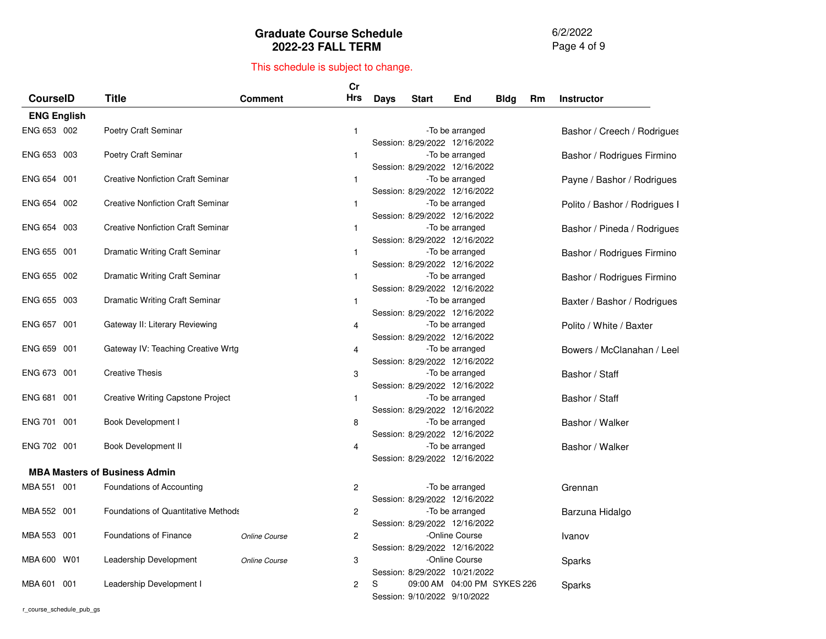6/2/2022 Page 4 of 9

### This schedule is subject to change.

|                    |                                            |                | Cr             |             |                               |                 |             |    |                               |
|--------------------|--------------------------------------------|----------------|----------------|-------------|-------------------------------|-----------------|-------------|----|-------------------------------|
| <b>CourselD</b>    | <b>Title</b>                               | <b>Comment</b> | Hrs            | <b>Days</b> | <b>Start</b>                  | End             | <b>Bldg</b> | Rm | <b>Instructor</b>             |
| <b>ENG English</b> |                                            |                |                |             |                               |                 |             |    |                               |
| ENG 653 002        | <b>Poetry Craft Seminar</b>                |                | $\mathbf{1}$   |             |                               | -To be arranged |             |    | Bashor / Creech / Rodrigues   |
|                    |                                            |                |                |             | Session: 8/29/2022 12/16/2022 |                 |             |    |                               |
| ENG 653 003        | Poetry Craft Seminar                       |                | $\mathbf{1}$   |             |                               | -To be arranged |             |    | Bashor / Rodrigues Firmino    |
|                    |                                            |                |                |             | Session: 8/29/2022 12/16/2022 |                 |             |    |                               |
| ENG 654 001        | <b>Creative Nonfiction Craft Seminar</b>   |                | $\mathbf{1}$   |             |                               | -To be arranged |             |    | Payne / Bashor / Rodrigues    |
|                    |                                            |                |                |             | Session: 8/29/2022 12/16/2022 |                 |             |    |                               |
| ENG 654 002        | <b>Creative Nonfiction Craft Seminar</b>   |                | $\mathbf{1}$   |             |                               | -To be arranged |             |    | Polito / Bashor / Rodrigues I |
|                    |                                            |                |                |             | Session: 8/29/2022 12/16/2022 |                 |             |    |                               |
| ENG 654 003        | <b>Creative Nonfiction Craft Seminar</b>   |                | $\mathbf{1}$   |             |                               | -To be arranged |             |    | Bashor / Pineda / Rodrigues   |
|                    |                                            |                |                |             | Session: 8/29/2022 12/16/2022 |                 |             |    |                               |
| ENG 655 001        | Dramatic Writing Craft Seminar             |                | 1              |             |                               | -To be arranged |             |    | Bashor / Rodrigues Firmino    |
|                    |                                            |                |                |             | Session: 8/29/2022 12/16/2022 |                 |             |    |                               |
| ENG 655 002        | Dramatic Writing Craft Seminar             |                | $\mathbf{1}$   |             |                               | -To be arranged |             |    | Bashor / Rodrigues Firmino    |
|                    |                                            |                |                |             | Session: 8/29/2022 12/16/2022 |                 |             |    |                               |
| ENG 655 003        | Dramatic Writing Craft Seminar             |                | $\mathbf{1}$   |             |                               | -To be arranged |             |    | Baxter / Bashor / Rodrigues   |
|                    |                                            |                |                |             | Session: 8/29/2022 12/16/2022 |                 |             |    |                               |
| ENG 657 001        | Gateway II: Literary Reviewing             |                | 4              |             |                               | -To be arranged |             |    | Polito / White / Baxter       |
|                    |                                            |                |                |             | Session: 8/29/2022 12/16/2022 |                 |             |    |                               |
| ENG 659 001        | Gateway IV: Teaching Creative Wrtg         |                | 4              |             |                               | -To be arranged |             |    | Bowers / McClanahan / Leel    |
|                    |                                            |                |                |             | Session: 8/29/2022 12/16/2022 |                 |             |    |                               |
| ENG 673 001        | <b>Creative Thesis</b>                     |                | 3              |             |                               | -To be arranged |             |    | Bashor / Staff                |
|                    |                                            |                |                |             | Session: 8/29/2022 12/16/2022 |                 |             |    |                               |
| ENG 681 001        | <b>Creative Writing Capstone Project</b>   |                | $\mathbf{1}$   |             |                               | -To be arranged |             |    | Bashor / Staff                |
| ENG 701 001        |                                            |                |                |             | Session: 8/29/2022 12/16/2022 |                 |             |    |                               |
|                    | Book Development I                         |                | 8              |             | Session: 8/29/2022 12/16/2022 | -To be arranged |             |    | Bashor / Walker               |
| ENG 702 001        | Book Development II                        |                | 4              |             |                               | -To be arranged |             |    | Bashor / Walker               |
|                    |                                            |                |                |             | Session: 8/29/2022 12/16/2022 |                 |             |    |                               |
|                    | <b>MBA Masters of Business Admin</b>       |                |                |             |                               |                 |             |    |                               |
|                    |                                            |                |                |             |                               |                 |             |    |                               |
| MBA 551 001        | Foundations of Accounting                  |                | 2              |             |                               | -To be arranged |             |    | Grennan                       |
|                    |                                            |                |                |             | Session: 8/29/2022 12/16/2022 |                 |             |    |                               |
| MBA 552 001        | <b>Foundations of Quantitative Methods</b> |                | $\overline{c}$ |             |                               | -To be arranged |             |    | Barzuna Hidalgo               |
|                    |                                            |                |                |             | Session: 8/29/2022 12/16/2022 |                 |             |    |                               |
| MBA 553 001        | Foundations of Finance                     | Online Course  | 2              |             |                               | -Online Course  |             |    | Ivanov                        |
|                    |                                            |                |                |             | Session: 8/29/2022 12/16/2022 | -Online Course  |             |    |                               |
| MBA 600 W01        | Leadership Development                     | Online Course  | 3              |             | Session: 8/29/2022 10/21/2022 |                 |             |    | Sparks                        |
| MBA 601 001        | Leadership Development I                   |                | $\overline{c}$ | S           | 09:00 AM 04:00 PM SYKES 226   |                 |             |    |                               |
|                    |                                            |                |                |             | Session: 9/10/2022 9/10/2022  |                 |             |    | Sparks                        |
|                    |                                            |                |                |             |                               |                 |             |    |                               |

r\_course\_schedule\_pub\_gs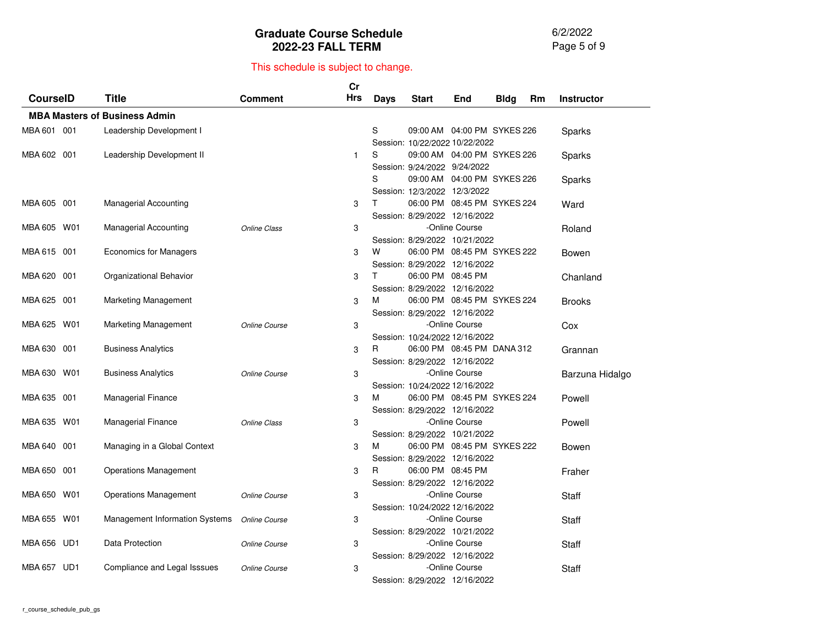6/2/2022 Page 5 of 9

|                 |                 |                                      |                      | $\mathsf{Cr}$ |      |                                                    |                               |             |    |                   |
|-----------------|-----------------|--------------------------------------|----------------------|---------------|------|----------------------------------------------------|-------------------------------|-------------|----|-------------------|
| <b>CourseID</b> |                 | <b>Title</b>                         | <b>Comment</b>       | Hrs           | Days | <b>Start</b>                                       | End                           | <b>Bldg</b> | Rm | <b>Instructor</b> |
|                 |                 | <b>MBA Masters of Business Admin</b> |                      |               |      |                                                    |                               |             |    |                   |
| MBA 601 001     |                 | Leadership Development I             |                      |               | S    |                                                    | 09:00 AM  04:00 PM  SYKES 226 |             |    | Sparks            |
|                 |                 |                                      |                      |               |      | Session: 10/22/2022 10/22/2022                     |                               |             |    |                   |
| MBA 602 001     |                 | Leadership Development II            |                      | $\mathbf{1}$  | S    | 09:00 AM 04:00 PM SYKES 226                        |                               |             |    | Sparks            |
|                 |                 |                                      |                      |               |      | Session: 9/24/2022 9/24/2022                       |                               |             |    |                   |
|                 |                 |                                      |                      |               | S    | 09:00 AM 04:00 PM SYKES 226                        |                               |             |    | Sparks            |
|                 |                 |                                      |                      |               |      | Session: 12/3/2022 12/3/2022                       |                               |             |    |                   |
| MBA 605 001     |                 | <b>Managerial Accounting</b>         |                      | 3             | T.   | 06:00 PM 08:45 PM SYKES 224                        |                               |             |    | Ward              |
|                 |                 |                                      |                      |               |      | Session: 8/29/2022 12/16/2022                      |                               |             |    |                   |
| MBA 605 W01     |                 | <b>Managerial Accounting</b>         | <b>Online Class</b>  | 3             |      |                                                    | -Online Course                |             |    | Roland            |
|                 |                 |                                      |                      |               |      | Session: 8/29/2022 10/21/2022                      |                               |             |    |                   |
| MBA 615 001     |                 | Economics for Managers               |                      | 3             | W    |                                                    | 06:00 PM 08:45 PM SYKES 222   |             |    | Bowen             |
|                 |                 |                                      |                      |               |      | Session: 8/29/2022 12/16/2022                      |                               |             |    |                   |
| MBA 620         | 001             | Organizational Behavior              |                      | 3             | T.   | 06:00 PM 08:45 PM                                  |                               |             |    | Chanland          |
|                 |                 |                                      |                      |               |      | Session: 8/29/2022 12/16/2022                      |                               |             |    |                   |
| MBA 625 001     |                 | Marketing Management                 |                      | 3             | м    | 06:00 PM 08:45 PM SYKES 224                        |                               |             |    | <b>Brooks</b>     |
|                 |                 |                                      |                      |               |      | Session: 8/29/2022 12/16/2022                      |                               |             |    |                   |
| MBA 625         | W01             | Marketing Management                 | Online Course        | 3             |      |                                                    | -Online Course                |             |    | Cox               |
|                 |                 |                                      |                      |               |      | Session: 10/24/2022 12/16/2022                     |                               |             |    |                   |
| MBA 630 001     |                 | <b>Business Analytics</b>            |                      | 3             | R    | 06:00 PM 08:45 PM DANA 312                         |                               |             |    | Grannan           |
|                 |                 |                                      |                      |               |      | Session: 8/29/2022 12/16/2022                      |                               |             |    |                   |
| MBA 630 W01     |                 | <b>Business Analytics</b>            | Online Course        | 3             |      |                                                    | -Online Course                |             |    | Barzuna Hidalgo   |
|                 |                 |                                      |                      |               |      | Session: 10/24/2022 12/16/2022                     |                               |             |    |                   |
| MBA 635 001     |                 | <b>Managerial Finance</b>            |                      | 3             | м    | 06:00 PM 08:45 PM SYKES 224                        |                               |             |    | Powell            |
|                 |                 |                                      |                      |               |      | Session: 8/29/2022 12/16/2022                      |                               |             |    |                   |
| MBA 635 W01     |                 | <b>Managerial Finance</b>            | <b>Online Class</b>  | 3             |      |                                                    | -Online Course                |             |    | Powell            |
|                 | 001             |                                      |                      |               |      | Session: 8/29/2022 10/21/2022                      |                               |             |    |                   |
| MBA 640         |                 | Managing in a Global Context         |                      | 3             | м    | 06:00 PM 08:45 PM SYKES 222                        |                               |             |    | Bowen             |
| MBA 650 001     |                 |                                      |                      |               | R    | Session: 8/29/2022 12/16/2022<br>06:00 PM 08:45 PM |                               |             |    |                   |
|                 |                 | <b>Operations Management</b>         |                      | 3             |      |                                                    |                               |             |    | Fraher            |
| MBA 650 W01     |                 | <b>Operations Management</b>         |                      | 3             |      | Session: 8/29/2022 12/16/2022                      | -Online Course                |             |    |                   |
|                 |                 |                                      | Online Course        |               |      | Session: 10/24/2022 12/16/2022                     |                               |             |    | Staff             |
| MBA 655         | W01             | Management Information Systems       | <b>Online Course</b> | 3             |      |                                                    | -Online Course                |             |    |                   |
|                 |                 |                                      |                      |               |      | Session: 8/29/2022 10/21/2022                      |                               |             |    | Staff             |
| MBA 656 UD1     |                 | Data Protection                      | Online Course        | 3             |      |                                                    | -Online Course                |             |    | <b>Staff</b>      |
|                 |                 |                                      |                      |               |      | Session: 8/29/2022 12/16/2022                      |                               |             |    |                   |
| MBA 657         | UD <sub>1</sub> | Compliance and Legal Isssues         | Online Course        | 3             |      |                                                    | -Online Course                |             |    | Staff             |
|                 |                 |                                      |                      |               |      | Session: 8/29/2022 12/16/2022                      |                               |             |    |                   |
|                 |                 |                                      |                      |               |      |                                                    |                               |             |    |                   |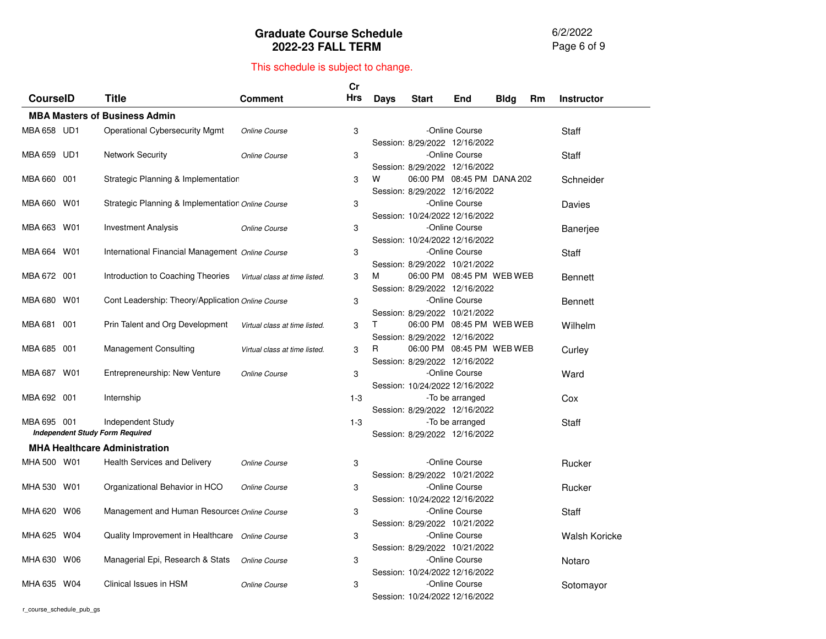6/2/2022 Page 6 of 9

|                 |     |                                                             |                               | Cr    |             |                                                             |                 |             |    |                      |
|-----------------|-----|-------------------------------------------------------------|-------------------------------|-------|-------------|-------------------------------------------------------------|-----------------|-------------|----|----------------------|
| <b>CourseID</b> |     | Title                                                       | Comment                       | Hrs   | <b>Days</b> | <b>Start</b>                                                | End             | <b>Bldg</b> | Rm | <b>Instructor</b>    |
|                 |     | <b>MBA Masters of Business Admin</b>                        |                               |       |             |                                                             |                 |             |    |                      |
| MBA 658 UD1     |     | <b>Operational Cybersecurity Mgmt</b>                       | <b>Online Course</b>          | 3     |             | Session: 8/29/2022 12/16/2022                               | -Online Course  |             |    | Staff                |
| MBA 659 UD1     |     | <b>Network Security</b>                                     | Online Course                 | 3     |             | Session: 8/29/2022 12/16/2022                               | -Online Course  |             |    | Staff                |
| MBA 660 001     |     | Strategic Planning & Implementatior                         |                               | 3     | W           | 06:00 PM 08:45 PM DANA 202<br>Session: 8/29/2022 12/16/2022 |                 |             |    | Schneider            |
| MBA 660 W01     |     | Strategic Planning & Implementatior Online Course           |                               | 3     |             | Session: 10/24/2022 12/16/2022                              | -Online Course  |             |    | Davies               |
| MBA 663 W01     |     | <b>Investment Analysis</b>                                  | Online Course                 | 3     |             | Session: 10/24/2022 12/16/2022                              | -Online Course  |             |    | Banerjee             |
| MBA 664         | W01 | International Financial Management Online Course            |                               | 3     |             | Session: 8/29/2022 10/21/2022                               | -Online Course  |             |    | Staff                |
| MBA 672 001     |     | Introduction to Coaching Theories                           | Virtual class at time listed. | 3     | м           | 06:00 PM 08:45 PM WEB WEB<br>Session: 8/29/2022 12/16/2022  |                 |             |    | Bennett              |
| MBA 680 W01     |     | Cont Leadership: Theory/Application Online Course           |                               | 3     |             | Session: 8/29/2022 10/21/2022                               | -Online Course  |             |    | <b>Bennett</b>       |
| MBA 681         | 001 | Prin Talent and Org Development                             | Virtual class at time listed. | 3     | T.          | 06:00 PM 08:45 PM WEB WEB<br>Session: 8/29/2022 12/16/2022  |                 |             |    | Wilhelm              |
| MBA 685         | 001 | <b>Management Consulting</b>                                | Virtual class at time listed. | 3     | R           | 06:00 PM 08:45 PM WEB WEB<br>Session: 8/29/2022 12/16/2022  |                 |             |    | Curley               |
| MBA 687         | W01 | Entrepreneurship: New Venture                               | Online Course                 | 3     |             | Session: 10/24/2022 12/16/2022                              | -Online Course  |             |    | Ward                 |
| MBA 692 001     |     | Internship                                                  |                               | $1-3$ |             | Session: 8/29/2022 12/16/2022                               | -To be arranged |             |    | Cox                  |
| MBA 695 001     |     | Independent Study<br><b>Independent Study Form Required</b> |                               | $1-3$ |             | Session: 8/29/2022 12/16/2022                               | -To be arranged |             |    | Staff                |
|                 |     | <b>MHA Healthcare Administration</b>                        |                               |       |             |                                                             |                 |             |    |                      |
| MHA 500 W01     |     | <b>Health Services and Delivery</b>                         | Online Course                 | 3     |             | Session: 8/29/2022 10/21/2022                               | -Online Course  |             |    | Rucker               |
| MHA 530 W01     |     | Organizational Behavior in HCO                              | Online Course                 | 3     |             | Session: 10/24/2022 12/16/2022                              | -Online Course  |             |    | Rucker               |
| MHA 620 W06     |     | Management and Human Resources Online Course                |                               | 3     |             | Session: 8/29/2022 10/21/2022                               | -Online Course  |             |    | Staff                |
| MHA 625 W04     |     | Quality Improvement in Healthcare Online Course             |                               | 3     |             | Session: 8/29/2022 10/21/2022                               | -Online Course  |             |    | <b>Walsh Koricke</b> |
| MHA 630 W06     |     | Managerial Epi, Research & Stats                            | Online Course                 | 3     |             | Session: 10/24/2022 12/16/2022                              | -Online Course  |             |    | Notaro               |
| MHA 635 W04     |     | Clinical Issues in HSM                                      | Online Course                 | 3     |             | Session: 10/24/2022 12/16/2022                              | -Online Course  |             |    | Sotomayor            |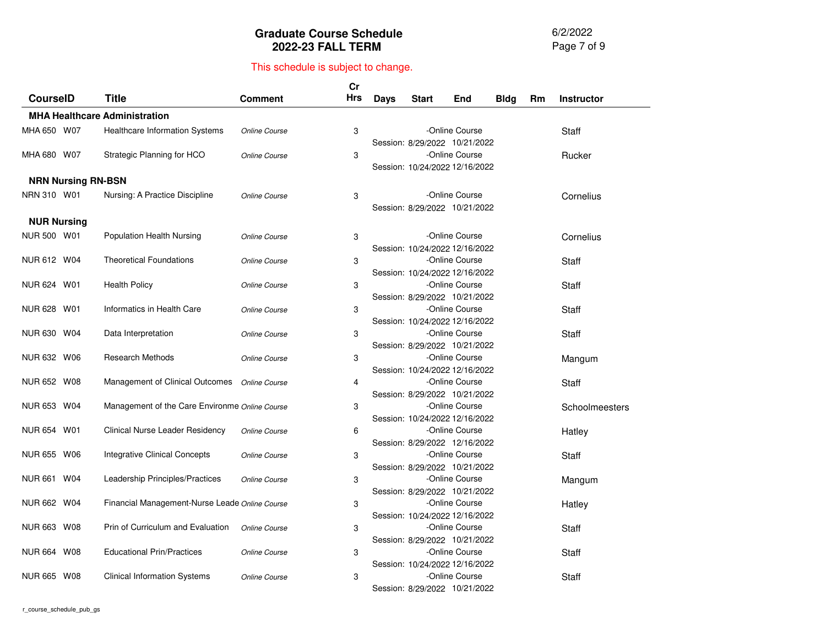6/2/2022 Page 7 of 9

| CourseID                  | <b>Title</b>                                   | <b>Comment</b> | Cr<br><b>Hrs</b> | <b>Days</b> | <b>Start</b>                   | End            | <b>Bldg</b> | Rm | <b>Instructor</b> |
|---------------------------|------------------------------------------------|----------------|------------------|-------------|--------------------------------|----------------|-------------|----|-------------------|
|                           | <b>MHA Healthcare Administration</b>           |                |                  |             |                                |                |             |    |                   |
| MHA 650 W07               | Healthcare Information Systems                 | Online Course  | 3                |             | Session: 8/29/2022 10/21/2022  | -Online Course |             |    | <b>Staff</b>      |
| MHA 680 W07               | Strategic Planning for HCO                     | Online Course  | 3                |             | Session: 10/24/2022 12/16/2022 | -Online Course |             |    | Rucker            |
| <b>NRN Nursing RN-BSN</b> |                                                |                |                  |             |                                |                |             |    |                   |
| NRN 310 W01               | Nursing: A Practice Discipline                 | Online Course  | 3                |             | Session: 8/29/2022 10/21/2022  | -Online Course |             |    | Cornelius         |
| <b>NUR Nursing</b>        |                                                |                |                  |             |                                |                |             |    |                   |
| NUR 500 W01               | Population Health Nursing                      | Online Course  | 3                |             | Session: 10/24/2022 12/16/2022 | -Online Course |             |    | Cornelius         |
| NUR 612 W04               | <b>Theoretical Foundations</b>                 | Online Course  | 3                |             | Session: 10/24/2022 12/16/2022 | -Online Course |             |    | Staff             |
| NUR 624 W01               | <b>Health Policy</b>                           | Online Course  | 3                |             | Session: 8/29/2022 10/21/2022  | -Online Course |             |    | Staff             |
| NUR 628 W01               | Informatics in Health Care                     | Online Course  | 3                |             | Session: 10/24/2022 12/16/2022 | -Online Course |             |    | Staff             |
| NUR 630 W04               | Data Interpretation                            | Online Course  | 3                |             | Session: 8/29/2022 10/21/2022  | -Online Course |             |    | Staff             |
| NUR 632 W06               | <b>Research Methods</b>                        | Online Course  | 3                |             | Session: 10/24/2022 12/16/2022 | -Online Course |             |    | Mangum            |
| NUR 652 W08               | Management of Clinical Outcomes                | Online Course  | 4                |             | Session: 8/29/2022 10/21/2022  | -Online Course |             |    | Staff             |
| NUR 653 W04               | Management of the Care Environme Online Course |                | 3                |             | Session: 10/24/2022 12/16/2022 | -Online Course |             |    | Schoolmeesters    |
| NUR 654 W01               | Clinical Nurse Leader Residency                | Online Course  | 6                |             | Session: 8/29/2022 12/16/2022  | -Online Course |             |    | Hatley            |
| NUR 655 W06               | <b>Integrative Clinical Concepts</b>           | Online Course  | 3                |             | Session: 8/29/2022 10/21/2022  | -Online Course |             |    | Staff             |
| NUR 661 W04               | Leadership Principles/Practices                | Online Course  | 3                |             | Session: 8/29/2022 10/21/2022  | -Online Course |             |    | Mangum            |
| NUR 662 W04               | Financial Management-Nurse Leade Online Course |                | 3                |             | Session: 10/24/2022 12/16/2022 | -Online Course |             |    | Hatley            |
| NUR 663 W08               | Prin of Curriculum and Evaluation              | Online Course  | 3                |             | Session: 8/29/2022 10/21/2022  | -Online Course |             |    | Staff             |
| NUR 664 W08               | <b>Educational Prin/Practices</b>              | Online Course  | 3                |             | Session: 10/24/2022 12/16/2022 | -Online Course |             |    | Staff             |
| NUR 665 W08               | <b>Clinical Information Systems</b>            | Online Course  | 3                |             | Session: 8/29/2022 10/21/2022  | -Online Course |             |    | Staff             |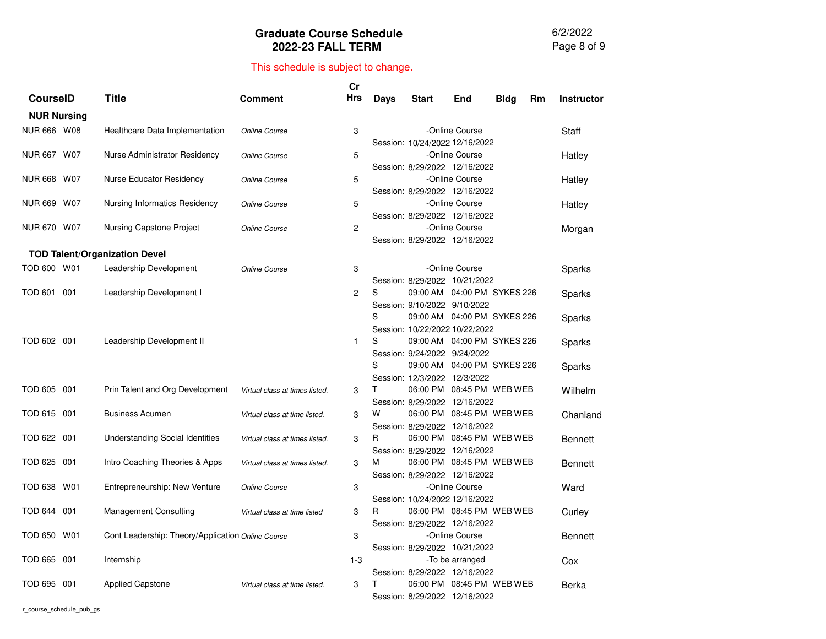6/2/2022 Page 8 of 9

|                       |                                                   |                                | Cr                    |      |                                |                               |             |    |                   |
|-----------------------|---------------------------------------------------|--------------------------------|-----------------------|------|--------------------------------|-------------------------------|-------------|----|-------------------|
| <b>CourseID</b>       | Title                                             | <b>Comment</b>                 | Hrs                   | Days | <b>Start</b>                   | End                           | <b>Bldg</b> | Rm | <b>Instructor</b> |
| <b>NUR Nursing</b>    |                                                   |                                |                       |      |                                |                               |             |    |                   |
| NUR 666 W08           | Healthcare Data Implementation                    | Online Course                  | 3                     |      |                                | -Online Course                |             |    | Staff             |
|                       |                                                   |                                |                       |      | Session: 10/24/2022 12/16/2022 |                               |             |    |                   |
| NUR 667 W07           | Nurse Administrator Residency                     | Online Course                  | 5                     |      |                                | -Online Course                |             |    | Hatley            |
|                       |                                                   |                                |                       |      | Session: 8/29/2022 12/16/2022  |                               |             |    |                   |
| NUR 668 W07           | Nurse Educator Residency                          | Online Course                  | 5                     |      |                                | -Online Course                |             |    | Hatley            |
|                       |                                                   |                                |                       |      | Session: 8/29/2022 12/16/2022  |                               |             |    |                   |
| NUR 669 W07           | <b>Nursing Informatics Residency</b>              | Online Course                  | 5                     |      |                                | -Online Course                |             |    | Hatley            |
|                       |                                                   |                                |                       |      | Session: 8/29/2022 12/16/2022  |                               |             |    |                   |
| NUR 670 W07           | Nursing Capstone Project                          | Online Course                  | $\mathbf{2}^{\prime}$ |      |                                | -Online Course                |             |    | Morgan            |
|                       |                                                   |                                |                       |      | Session: 8/29/2022 12/16/2022  |                               |             |    |                   |
|                       | <b>TOD Talent/Organization Devel</b>              |                                |                       |      |                                |                               |             |    |                   |
| TOD 600 W01           | Leadership Development                            | Online Course                  | 3                     |      |                                | -Online Course                |             |    | Sparks            |
|                       |                                                   |                                |                       |      | Session: 8/29/2022 10/21/2022  |                               |             |    |                   |
| TOD 601 001           | Leadership Development I                          |                                | $\overline{c}$        | S    |                                | 09:00 AM 04:00 PM SYKES 226   |             |    | Sparks            |
|                       |                                                   |                                |                       |      | Session: 9/10/2022 9/10/2022   |                               |             |    |                   |
|                       |                                                   |                                |                       | S    |                                | 09:00 AM  04:00 PM  SYKES 226 |             |    | Sparks            |
|                       |                                                   |                                |                       |      | Session: 10/22/2022 10/22/2022 |                               |             |    |                   |
| TOD 602 001           | Leadership Development II                         |                                | $\mathbf{1}$          | S    |                                | 09:00 AM  04:00 PM  SYKES 226 |             |    | Sparks            |
|                       |                                                   |                                |                       |      | Session: 9/24/2022 9/24/2022   |                               |             |    |                   |
|                       |                                                   |                                |                       | S    |                                | 09:00 AM 04:00 PM SYKES 226   |             |    | Sparks            |
|                       |                                                   |                                |                       |      | Session: 12/3/2022 12/3/2022   |                               |             |    |                   |
| TOD 605 001           | Prin Talent and Org Development                   | Virtual class at times listed. | 3                     | т    |                                | 06:00 PM 08:45 PM WEB WEB     |             |    | Wilhelm           |
|                       |                                                   |                                |                       |      | Session: 8/29/2022 12/16/2022  |                               |             |    |                   |
| TOD 615 001           | <b>Business Acumen</b>                            | Virtual class at time listed.  | 3                     | w    |                                | 06:00 PM 08:45 PM WEB WEB     |             |    | Chanland          |
|                       |                                                   |                                |                       |      | Session: 8/29/2022 12/16/2022  |                               |             |    |                   |
| TOD 622 001           | <b>Understanding Social Identities</b>            | Virtual class at times listed. | 3                     | R.   |                                | 06:00 PM 08:45 PM WEB WEB     |             |    | Bennett           |
|                       |                                                   |                                |                       |      | Session: 8/29/2022 12/16/2022  |                               |             |    |                   |
| TOD 625 001           | Intro Coaching Theories & Apps                    | Virtual class at times listed. | 3                     | м    |                                | 06:00 PM 08:45 PM WEB WEB     |             |    | <b>Bennett</b>    |
|                       |                                                   |                                |                       |      | Session: 8/29/2022 12/16/2022  |                               |             |    |                   |
| TOD 638<br>W01        | Entrepreneurship: New Venture                     | Online Course                  | 3                     |      |                                | -Online Course                |             |    | Ward              |
|                       |                                                   |                                |                       |      | Session: 10/24/2022 12/16/2022 |                               |             |    |                   |
| <b>TOD 644</b><br>001 | <b>Management Consulting</b>                      | Virtual class at time listed   | 3                     | R    |                                | 06:00 PM 08:45 PM WEB WEB     |             |    | Curley            |
|                       |                                                   |                                |                       |      | Session: 8/29/2022 12/16/2022  |                               |             |    |                   |
| TOD 650 W01           | Cont Leadership: Theory/Application Online Course |                                | 3                     |      |                                | -Online Course                |             |    | <b>Bennett</b>    |
|                       |                                                   |                                |                       |      | Session: 8/29/2022 10/21/2022  |                               |             |    |                   |
| TOD 665 001           | Internship                                        |                                | $1 - 3$               |      |                                | -To be arranged               |             |    | Cox               |
|                       |                                                   |                                |                       |      | Session: 8/29/2022 12/16/2022  |                               |             |    |                   |
| TOD 695 001           | <b>Applied Capstone</b>                           | Virtual class at time listed.  | 3                     |      |                                | 06:00 PM 08:45 PM WEB WEB     |             |    | Berka             |
|                       |                                                   |                                |                       |      | Session: 8/29/2022 12/16/2022  |                               |             |    |                   |